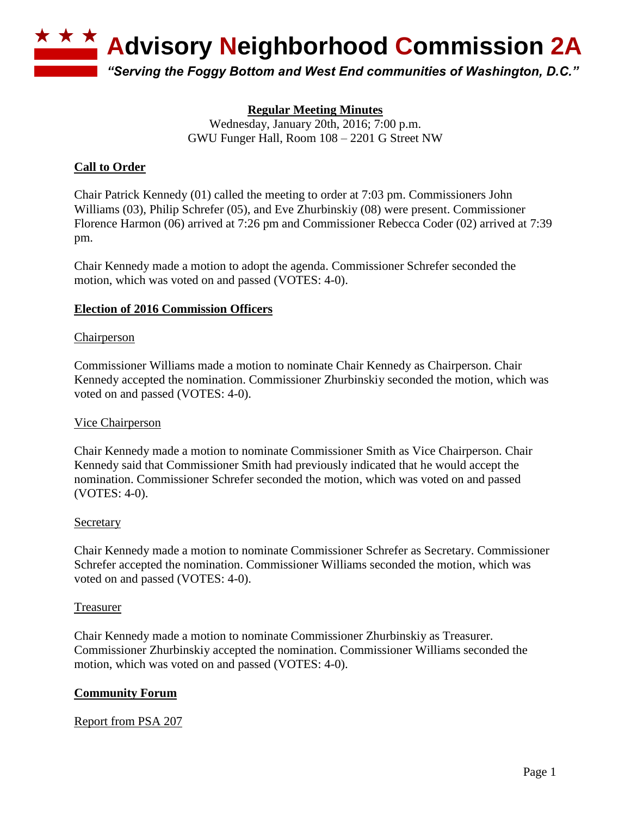

## **Regular Meeting Minutes**

Wednesday, January 20th, 2016; 7:00 p.m. GWU Funger Hall, Room 108 – 2201 G Street NW

## **Call to Order**

Chair Patrick Kennedy (01) called the meeting to order at 7:03 pm. Commissioners John Williams (03), Philip Schrefer (05), and Eve Zhurbinskiy (08) were present. Commissioner Florence Harmon (06) arrived at 7:26 pm and Commissioner Rebecca Coder (02) arrived at 7:39 pm.

Chair Kennedy made a motion to adopt the agenda. Commissioner Schrefer seconded the motion, which was voted on and passed (VOTES: 4-0).

## **Election of 2016 Commission Officers**

## Chairperson

Commissioner Williams made a motion to nominate Chair Kennedy as Chairperson. Chair Kennedy accepted the nomination. Commissioner Zhurbinskiy seconded the motion, which was voted on and passed (VOTES: 4-0).

## Vice Chairperson

Chair Kennedy made a motion to nominate Commissioner Smith as Vice Chairperson. Chair Kennedy said that Commissioner Smith had previously indicated that he would accept the nomination. Commissioner Schrefer seconded the motion, which was voted on and passed (VOTES: 4-0).

#### Secretary

Chair Kennedy made a motion to nominate Commissioner Schrefer as Secretary. Commissioner Schrefer accepted the nomination. Commissioner Williams seconded the motion, which was voted on and passed (VOTES: 4-0).

#### Treasurer

Chair Kennedy made a motion to nominate Commissioner Zhurbinskiy as Treasurer. Commissioner Zhurbinskiy accepted the nomination. Commissioner Williams seconded the motion, which was voted on and passed (VOTES: 4-0).

## **Community Forum**

## Report from PSA 207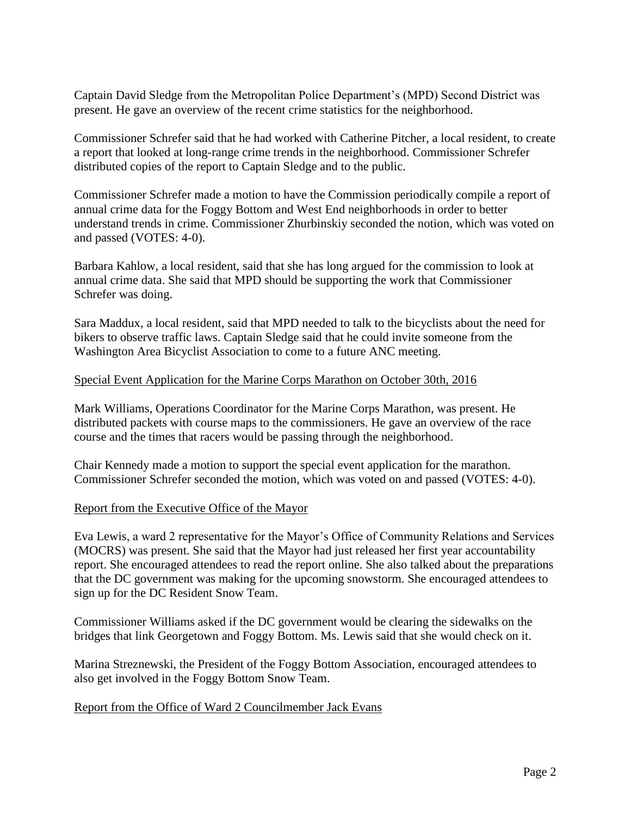Captain David Sledge from the Metropolitan Police Department's (MPD) Second District was present. He gave an overview of the recent crime statistics for the neighborhood.

Commissioner Schrefer said that he had worked with Catherine Pitcher, a local resident, to create a report that looked at long-range crime trends in the neighborhood. Commissioner Schrefer distributed copies of the report to Captain Sledge and to the public.

Commissioner Schrefer made a motion to have the Commission periodically compile a report of annual crime data for the Foggy Bottom and West End neighborhoods in order to better understand trends in crime. Commissioner Zhurbinskiy seconded the notion, which was voted on and passed (VOTES: 4-0).

Barbara Kahlow, a local resident, said that she has long argued for the commission to look at annual crime data. She said that MPD should be supporting the work that Commissioner Schrefer was doing.

Sara Maddux, a local resident, said that MPD needed to talk to the bicyclists about the need for bikers to observe traffic laws. Captain Sledge said that he could invite someone from the Washington Area Bicyclist Association to come to a future ANC meeting.

## Special Event Application for the Marine Corps Marathon on October 30th, 2016

Mark Williams, Operations Coordinator for the Marine Corps Marathon, was present. He distributed packets with course maps to the commissioners. He gave an overview of the race course and the times that racers would be passing through the neighborhood.

Chair Kennedy made a motion to support the special event application for the marathon. Commissioner Schrefer seconded the motion, which was voted on and passed (VOTES: 4-0).

## Report from the Executive Office of the Mayor

Eva Lewis, a ward 2 representative for the Mayor's Office of Community Relations and Services (MOCRS) was present. She said that the Mayor had just released her first year accountability report. She encouraged attendees to read the report online. She also talked about the preparations that the DC government was making for the upcoming snowstorm. She encouraged attendees to sign up for the DC Resident Snow Team.

Commissioner Williams asked if the DC government would be clearing the sidewalks on the bridges that link Georgetown and Foggy Bottom. Ms. Lewis said that she would check on it.

Marina Streznewski, the President of the Foggy Bottom Association, encouraged attendees to also get involved in the Foggy Bottom Snow Team.

#### Report from the Office of Ward 2 Councilmember Jack Evans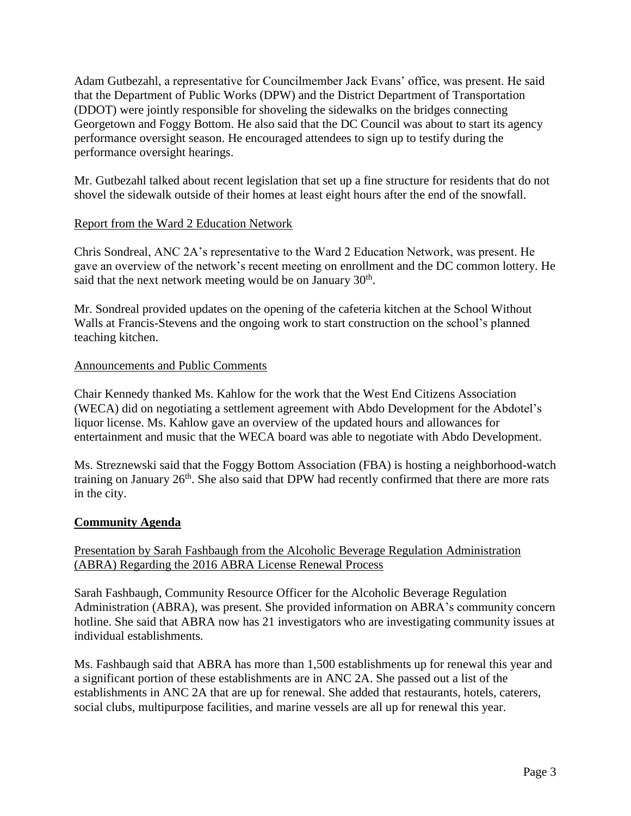Adam Gutbezahl, a representative for Councilmember Jack Evans' office, was present. He said that the Department of Public Works (DPW) and the District Department of Transportation (DDOT) were jointly responsible for shoveling the sidewalks on the bridges connecting Georgetown and Foggy Bottom. He also said that the DC Council was about to start its agency performance oversight season. He encouraged attendees to sign up to testify during the performance oversight hearings.

Mr. Gutbezahl talked about recent legislation that set up a fine structure for residents that do not shovel the sidewalk outside of their homes at least eight hours after the end of the snowfall.

## Report from the Ward 2 Education Network

Chris Sondreal, ANC 2A's representative to the Ward 2 Education Network, was present. He gave an overview of the network's recent meeting on enrollment and the DC common lottery. He said that the next network meeting would be on January  $30<sup>th</sup>$ .

Mr. Sondreal provided updates on the opening of the cafeteria kitchen at the School Without Walls at Francis-Stevens and the ongoing work to start construction on the school's planned teaching kitchen.

## Announcements and Public Comments

Chair Kennedy thanked Ms. Kahlow for the work that the West End Citizens Association (WECA) did on negotiating a settlement agreement with Abdo Development for the Abdotel's liquor license. Ms. Kahlow gave an overview of the updated hours and allowances for entertainment and music that the WECA board was able to negotiate with Abdo Development.

Ms. Streznewski said that the Foggy Bottom Association (FBA) is hosting a neighborhood-watch training on January  $26<sup>th</sup>$ . She also said that DPW had recently confirmed that there are more rats in the city.

## **Community Agenda**

## Presentation by Sarah Fashbaugh from the Alcoholic Beverage Regulation Administration (ABRA) Regarding the 2016 ABRA License Renewal Process

Sarah Fashbaugh, Community Resource Officer for the Alcoholic Beverage Regulation Administration (ABRA), was present. She provided information on ABRA's community concern hotline. She said that ABRA now has 21 investigators who are investigating community issues at individual establishments.

Ms. Fashbaugh said that ABRA has more than 1,500 establishments up for renewal this year and a significant portion of these establishments are in ANC 2A. She passed out a list of the establishments in ANC 2A that are up for renewal. She added that restaurants, hotels, caterers, social clubs, multipurpose facilities, and marine vessels are all up for renewal this year.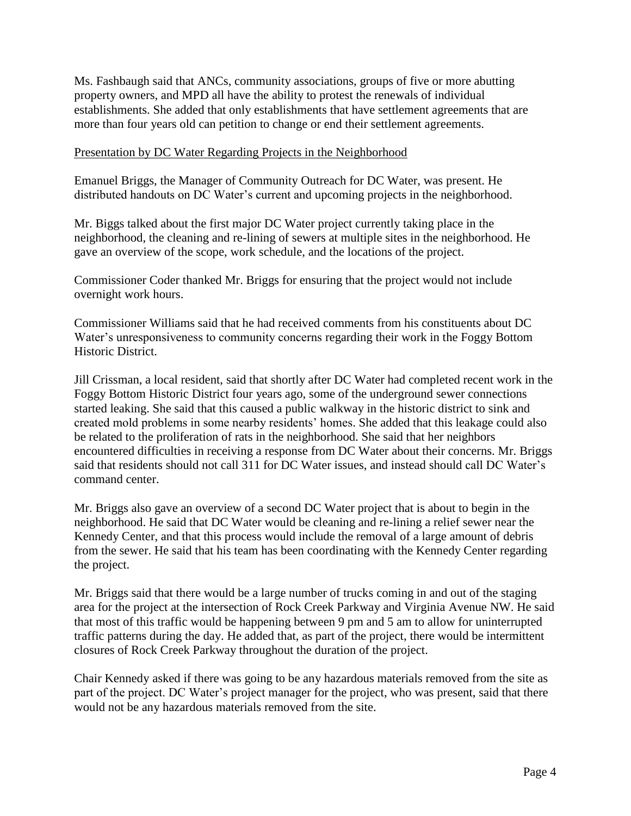Ms. Fashbaugh said that ANCs, community associations, groups of five or more abutting property owners, and MPD all have the ability to protest the renewals of individual establishments. She added that only establishments that have settlement agreements that are more than four years old can petition to change or end their settlement agreements.

## Presentation by DC Water Regarding Projects in the Neighborhood

Emanuel Briggs, the Manager of Community Outreach for DC Water, was present. He distributed handouts on DC Water's current and upcoming projects in the neighborhood.

Mr. Biggs talked about the first major DC Water project currently taking place in the neighborhood, the cleaning and re-lining of sewers at multiple sites in the neighborhood. He gave an overview of the scope, work schedule, and the locations of the project.

Commissioner Coder thanked Mr. Briggs for ensuring that the project would not include overnight work hours.

Commissioner Williams said that he had received comments from his constituents about DC Water's unresponsiveness to community concerns regarding their work in the Foggy Bottom Historic District.

Jill Crissman, a local resident, said that shortly after DC Water had completed recent work in the Foggy Bottom Historic District four years ago, some of the underground sewer connections started leaking. She said that this caused a public walkway in the historic district to sink and created mold problems in some nearby residents' homes. She added that this leakage could also be related to the proliferation of rats in the neighborhood. She said that her neighbors encountered difficulties in receiving a response from DC Water about their concerns. Mr. Briggs said that residents should not call 311 for DC Water issues, and instead should call DC Water's command center.

Mr. Briggs also gave an overview of a second DC Water project that is about to begin in the neighborhood. He said that DC Water would be cleaning and re-lining a relief sewer near the Kennedy Center, and that this process would include the removal of a large amount of debris from the sewer. He said that his team has been coordinating with the Kennedy Center regarding the project.

Mr. Briggs said that there would be a large number of trucks coming in and out of the staging area for the project at the intersection of Rock Creek Parkway and Virginia Avenue NW. He said that most of this traffic would be happening between 9 pm and 5 am to allow for uninterrupted traffic patterns during the day. He added that, as part of the project, there would be intermittent closures of Rock Creek Parkway throughout the duration of the project.

Chair Kennedy asked if there was going to be any hazardous materials removed from the site as part of the project. DC Water's project manager for the project, who was present, said that there would not be any hazardous materials removed from the site.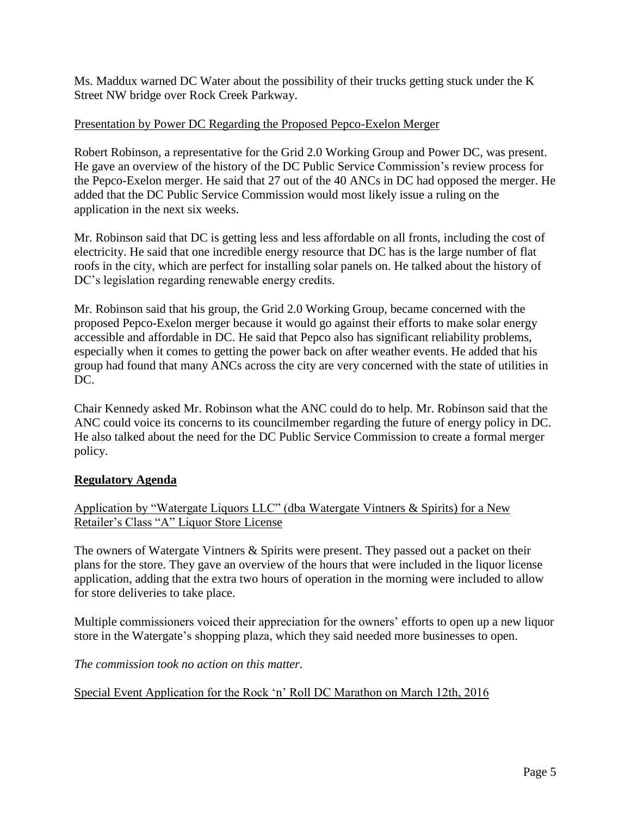Ms. Maddux warned DC Water about the possibility of their trucks getting stuck under the K Street NW bridge over Rock Creek Parkway.

## Presentation by Power DC Regarding the Proposed Pepco-Exelon Merger

Robert Robinson, a representative for the Grid 2.0 Working Group and Power DC, was present. He gave an overview of the history of the DC Public Service Commission's review process for the Pepco-Exelon merger. He said that 27 out of the 40 ANCs in DC had opposed the merger. He added that the DC Public Service Commission would most likely issue a ruling on the application in the next six weeks.

Mr. Robinson said that DC is getting less and less affordable on all fronts, including the cost of electricity. He said that one incredible energy resource that DC has is the large number of flat roofs in the city, which are perfect for installing solar panels on. He talked about the history of DC's legislation regarding renewable energy credits.

Mr. Robinson said that his group, the Grid 2.0 Working Group, became concerned with the proposed Pepco-Exelon merger because it would go against their efforts to make solar energy accessible and affordable in DC. He said that Pepco also has significant reliability problems, especially when it comes to getting the power back on after weather events. He added that his group had found that many ANCs across the city are very concerned with the state of utilities in DC.

Chair Kennedy asked Mr. Robinson what the ANC could do to help. Mr. Robinson said that the ANC could voice its concerns to its councilmember regarding the future of energy policy in DC. He also talked about the need for the DC Public Service Commission to create a formal merger policy.

## **Regulatory Agenda**

Application by "Watergate Liquors LLC" (dba Watergate Vintners & Spirits) for a New Retailer's Class "A" Liquor Store License

The owners of Watergate Vintners & Spirits were present. They passed out a packet on their plans for the store. They gave an overview of the hours that were included in the liquor license application, adding that the extra two hours of operation in the morning were included to allow for store deliveries to take place.

Multiple commissioners voiced their appreciation for the owners' efforts to open up a new liquor store in the Watergate's shopping plaza, which they said needed more businesses to open.

*The commission took no action on this matter.*

Special Event Application for the Rock 'n' Roll DC Marathon on March 12th, 2016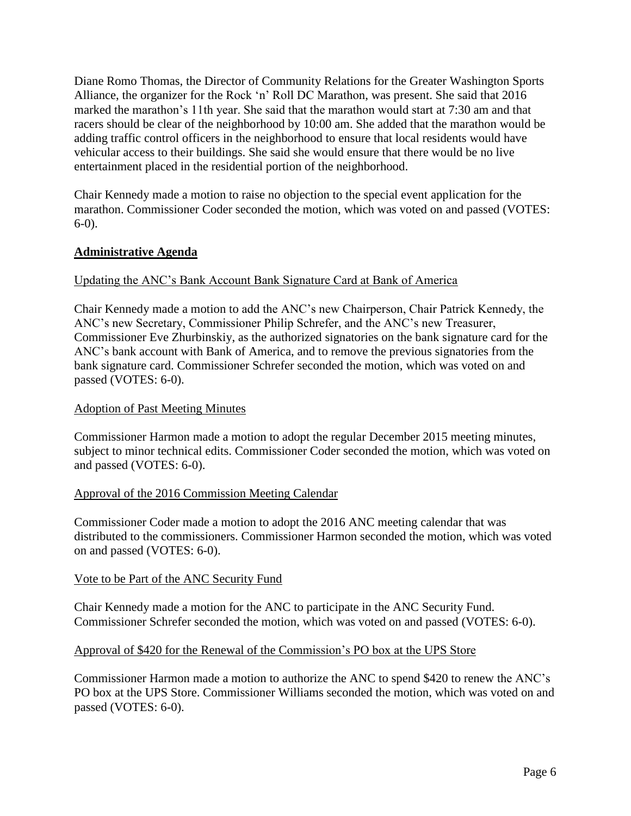Diane Romo Thomas, the Director of Community Relations for the Greater Washington Sports Alliance, the organizer for the Rock 'n' Roll DC Marathon, was present. She said that 2016 marked the marathon's 11th year. She said that the marathon would start at 7:30 am and that racers should be clear of the neighborhood by 10:00 am. She added that the marathon would be adding traffic control officers in the neighborhood to ensure that local residents would have vehicular access to their buildings. She said she would ensure that there would be no live entertainment placed in the residential portion of the neighborhood.

Chair Kennedy made a motion to raise no objection to the special event application for the marathon. Commissioner Coder seconded the motion, which was voted on and passed (VOTES:  $6-0$ ).

## **Administrative Agenda**

## Updating the ANC's Bank Account Bank Signature Card at Bank of America

Chair Kennedy made a motion to add the ANC's new Chairperson, Chair Patrick Kennedy, the ANC's new Secretary, Commissioner Philip Schrefer, and the ANC's new Treasurer, Commissioner Eve Zhurbinskiy, as the authorized signatories on the bank signature card for the ANC's bank account with Bank of America, and to remove the previous signatories from the bank signature card. Commissioner Schrefer seconded the motion, which was voted on and passed (VOTES: 6-0).

#### Adoption of Past Meeting Minutes

Commissioner Harmon made a motion to adopt the regular December 2015 meeting minutes, subject to minor technical edits. Commissioner Coder seconded the motion, which was voted on and passed (VOTES: 6-0).

## Approval of the 2016 Commission Meeting Calendar

Commissioner Coder made a motion to adopt the 2016 ANC meeting calendar that was distributed to the commissioners. Commissioner Harmon seconded the motion, which was voted on and passed (VOTES: 6-0).

## Vote to be Part of the ANC Security Fund

Chair Kennedy made a motion for the ANC to participate in the ANC Security Fund. Commissioner Schrefer seconded the motion, which was voted on and passed (VOTES: 6-0).

## Approval of \$420 for the Renewal of the Commission's PO box at the UPS Store

Commissioner Harmon made a motion to authorize the ANC to spend \$420 to renew the ANC's PO box at the UPS Store. Commissioner Williams seconded the motion, which was voted on and passed (VOTES: 6-0).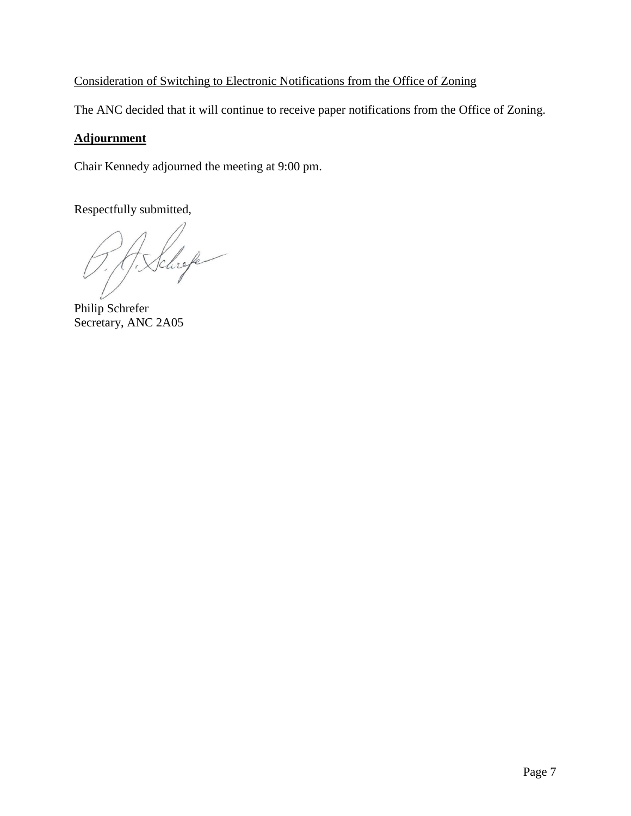# Consideration of Switching to Electronic Notifications from the Office of Zoning

The ANC decided that it will continue to receive paper notifications from the Office of Zoning.

## **Adjournment**

Chair Kennedy adjourned the meeting at 9:00 pm.

Respectfully submitted,

H. Schrefe

Philip Schrefer Secretary, ANC 2A05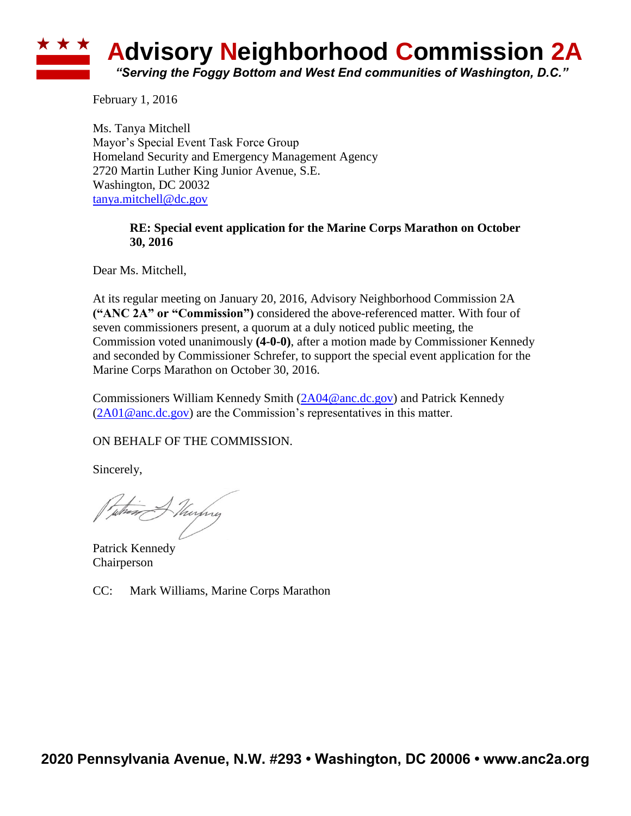# **Advisory Neighborhood Commission 2A** *"Serving the Foggy Bottom and West End communities of Washington, D.C."*

February 1, 2016

Ms. Tanya Mitchell Mayor's Special Event Task Force Group Homeland Security and Emergency Management Agency 2720 Martin Luther King Junior Avenue, S.E. Washington, DC 20032 [tanya.mitchell@dc.gov](mailto:tanya.mitchell@dc.gov)

## **RE: Special event application for the Marine Corps Marathon on October 30, 2016**

Dear Ms. Mitchell,

At its regular meeting on January 20, 2016, Advisory Neighborhood Commission 2A **("ANC 2A" or "Commission")** considered the above-referenced matter. With four of seven commissioners present, a quorum at a duly noticed public meeting, the Commission voted unanimously **(4-0-0)**, after a motion made by Commissioner Kennedy and seconded by Commissioner Schrefer, to support the special event application for the Marine Corps Marathon on October 30, 2016.

Commissioners William Kennedy Smith [\(2A04@anc.dc.gov\)](mailto:2A04@anc.dc.gov) and Patrick Kennedy  $(2A01@anc.dc.gov)$  are the Commission's representatives in this matter.

ON BEHALF OF THE COMMISSION.

Sincerely,

Th<del>en M</del>urpry

Patrick Kennedy Chairperson

CC: Mark Williams, Marine Corps Marathon